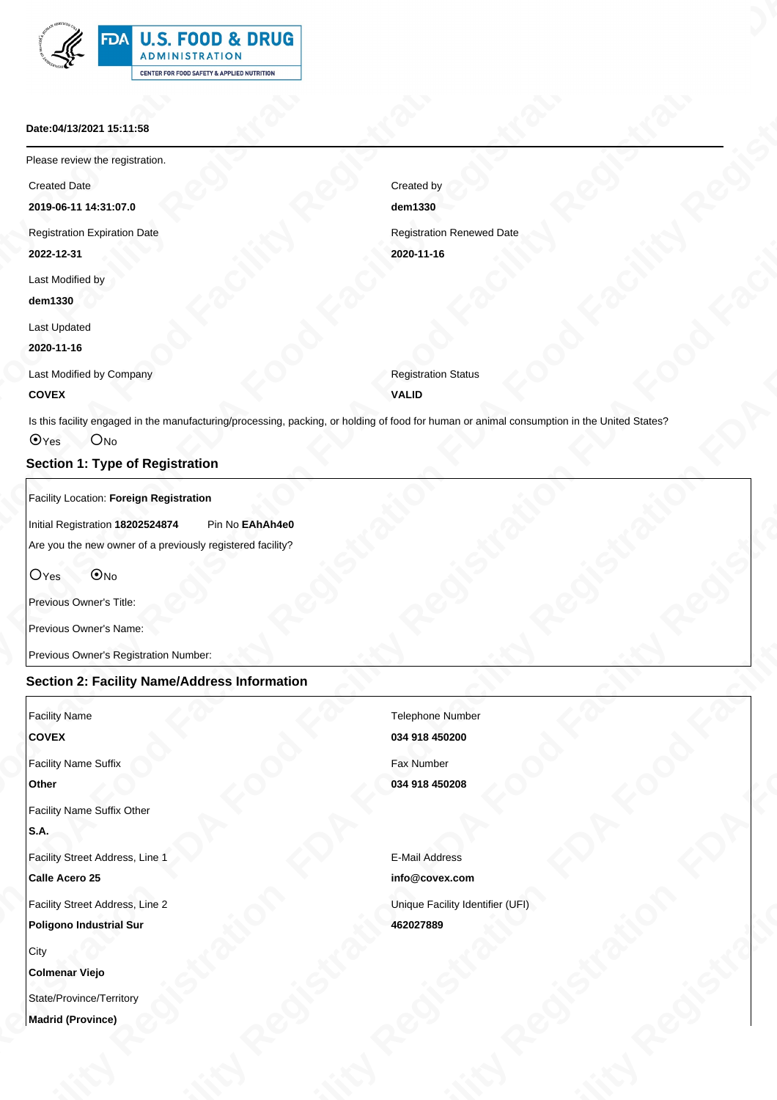| <b>TALU.S. FOOD &amp; DRUG</b>             |  |  |  |  |  |  |  |
|--------------------------------------------|--|--|--|--|--|--|--|
| <b>ADMINISTRATION</b>                      |  |  |  |  |  |  |  |
| CENTER FOR FOOD SAFETY & APPLIED NUTRITION |  |  |  |  |  |  |  |

#### **Date:04/13/2021 15:11:58**

#### **COVEX**

### **Section 1: Type of Registration**

### **Section 2: Facility Name/Address Information**

| <b>EDA U.S. FOOD &amp; DRUG</b><br>ADMINISTRATION<br><b>Allegard Company of Company of Company</b><br>CENTER FOR FOOD SAFETY & APPLIED NUTRITION<br>Date:04/13/2021 15:11:58<br>Please review the registration.<br><b>Created Date</b><br>Created by<br>dem1330<br>2019-06-11 14:31:07.0<br><b>Registration Renewed Date</b><br>Registration Expiration Date<br>2022-12-31<br>2020-11-16<br>Last Modified by<br>dem1330<br><b>Last Updated</b><br>2020-11-16<br><b>Registration Status</b><br>Last Modified by Company<br><b>COVEX</b><br><b>VALID</b><br>Is this facility engaged in the manufacturing/processing, packing, or holding of food for human or animal consumption in the United States?<br>OYes ONo<br><b>Section 1: Type of Registration</b><br>Facility Location: Foreign Registration<br>Initial Registration 18202524874 Pin No EAhAh4e0<br>Are you the new owner of a previously registered facility?<br>OYes ONo<br>Previous Owner's Title:<br>Previous Owner's Name:<br>Previous Owner's Registration Number:<br><b>Section 2: Facility Name/Address Information</b><br><b>Facility Name</b><br><b>Telephone Number</b><br>COVEX<br>034 918 450200<br>Fax Number<br>Facility Name Suffix<br>034 918 450208<br>Other<br><b>Facility Name Suffix Other</b><br>S.A.<br>Facility Street Address, Line 1<br><b>E-Mail Address</b><br>Calle Acero 25<br>info@covex.com<br>Facility Street Address, Line 2<br>Unique Facility Identifier (UFI)<br>Poligono Industrial Sur<br>462027889<br>City<br><b>Colmenar Viejo</b><br>State/Province/Territory<br>Madrid (Province) |  |  |  |
|----------------------------------------------------------------------------------------------------------------------------------------------------------------------------------------------------------------------------------------------------------------------------------------------------------------------------------------------------------------------------------------------------------------------------------------------------------------------------------------------------------------------------------------------------------------------------------------------------------------------------------------------------------------------------------------------------------------------------------------------------------------------------------------------------------------------------------------------------------------------------------------------------------------------------------------------------------------------------------------------------------------------------------------------------------------------------------------------------------------------------------------------------------------------------------------------------------------------------------------------------------------------------------------------------------------------------------------------------------------------------------------------------------------------------------------------------------------------------------------------------------------------------------------------------------------------------------------|--|--|--|
|                                                                                                                                                                                                                                                                                                                                                                                                                                                                                                                                                                                                                                                                                                                                                                                                                                                                                                                                                                                                                                                                                                                                                                                                                                                                                                                                                                                                                                                                                                                                                                                        |  |  |  |
|                                                                                                                                                                                                                                                                                                                                                                                                                                                                                                                                                                                                                                                                                                                                                                                                                                                                                                                                                                                                                                                                                                                                                                                                                                                                                                                                                                                                                                                                                                                                                                                        |  |  |  |
|                                                                                                                                                                                                                                                                                                                                                                                                                                                                                                                                                                                                                                                                                                                                                                                                                                                                                                                                                                                                                                                                                                                                                                                                                                                                                                                                                                                                                                                                                                                                                                                        |  |  |  |
|                                                                                                                                                                                                                                                                                                                                                                                                                                                                                                                                                                                                                                                                                                                                                                                                                                                                                                                                                                                                                                                                                                                                                                                                                                                                                                                                                                                                                                                                                                                                                                                        |  |  |  |
|                                                                                                                                                                                                                                                                                                                                                                                                                                                                                                                                                                                                                                                                                                                                                                                                                                                                                                                                                                                                                                                                                                                                                                                                                                                                                                                                                                                                                                                                                                                                                                                        |  |  |  |
|                                                                                                                                                                                                                                                                                                                                                                                                                                                                                                                                                                                                                                                                                                                                                                                                                                                                                                                                                                                                                                                                                                                                                                                                                                                                                                                                                                                                                                                                                                                                                                                        |  |  |  |
|                                                                                                                                                                                                                                                                                                                                                                                                                                                                                                                                                                                                                                                                                                                                                                                                                                                                                                                                                                                                                                                                                                                                                                                                                                                                                                                                                                                                                                                                                                                                                                                        |  |  |  |
|                                                                                                                                                                                                                                                                                                                                                                                                                                                                                                                                                                                                                                                                                                                                                                                                                                                                                                                                                                                                                                                                                                                                                                                                                                                                                                                                                                                                                                                                                                                                                                                        |  |  |  |
|                                                                                                                                                                                                                                                                                                                                                                                                                                                                                                                                                                                                                                                                                                                                                                                                                                                                                                                                                                                                                                                                                                                                                                                                                                                                                                                                                                                                                                                                                                                                                                                        |  |  |  |
|                                                                                                                                                                                                                                                                                                                                                                                                                                                                                                                                                                                                                                                                                                                                                                                                                                                                                                                                                                                                                                                                                                                                                                                                                                                                                                                                                                                                                                                                                                                                                                                        |  |  |  |
|                                                                                                                                                                                                                                                                                                                                                                                                                                                                                                                                                                                                                                                                                                                                                                                                                                                                                                                                                                                                                                                                                                                                                                                                                                                                                                                                                                                                                                                                                                                                                                                        |  |  |  |
|                                                                                                                                                                                                                                                                                                                                                                                                                                                                                                                                                                                                                                                                                                                                                                                                                                                                                                                                                                                                                                                                                                                                                                                                                                                                                                                                                                                                                                                                                                                                                                                        |  |  |  |
|                                                                                                                                                                                                                                                                                                                                                                                                                                                                                                                                                                                                                                                                                                                                                                                                                                                                                                                                                                                                                                                                                                                                                                                                                                                                                                                                                                                                                                                                                                                                                                                        |  |  |  |
|                                                                                                                                                                                                                                                                                                                                                                                                                                                                                                                                                                                                                                                                                                                                                                                                                                                                                                                                                                                                                                                                                                                                                                                                                                                                                                                                                                                                                                                                                                                                                                                        |  |  |  |
|                                                                                                                                                                                                                                                                                                                                                                                                                                                                                                                                                                                                                                                                                                                                                                                                                                                                                                                                                                                                                                                                                                                                                                                                                                                                                                                                                                                                                                                                                                                                                                                        |  |  |  |
|                                                                                                                                                                                                                                                                                                                                                                                                                                                                                                                                                                                                                                                                                                                                                                                                                                                                                                                                                                                                                                                                                                                                                                                                                                                                                                                                                                                                                                                                                                                                                                                        |  |  |  |
|                                                                                                                                                                                                                                                                                                                                                                                                                                                                                                                                                                                                                                                                                                                                                                                                                                                                                                                                                                                                                                                                                                                                                                                                                                                                                                                                                                                                                                                                                                                                                                                        |  |  |  |
|                                                                                                                                                                                                                                                                                                                                                                                                                                                                                                                                                                                                                                                                                                                                                                                                                                                                                                                                                                                                                                                                                                                                                                                                                                                                                                                                                                                                                                                                                                                                                                                        |  |  |  |
|                                                                                                                                                                                                                                                                                                                                                                                                                                                                                                                                                                                                                                                                                                                                                                                                                                                                                                                                                                                                                                                                                                                                                                                                                                                                                                                                                                                                                                                                                                                                                                                        |  |  |  |
|                                                                                                                                                                                                                                                                                                                                                                                                                                                                                                                                                                                                                                                                                                                                                                                                                                                                                                                                                                                                                                                                                                                                                                                                                                                                                                                                                                                                                                                                                                                                                                                        |  |  |  |
|                                                                                                                                                                                                                                                                                                                                                                                                                                                                                                                                                                                                                                                                                                                                                                                                                                                                                                                                                                                                                                                                                                                                                                                                                                                                                                                                                                                                                                                                                                                                                                                        |  |  |  |
|                                                                                                                                                                                                                                                                                                                                                                                                                                                                                                                                                                                                                                                                                                                                                                                                                                                                                                                                                                                                                                                                                                                                                                                                                                                                                                                                                                                                                                                                                                                                                                                        |  |  |  |
|                                                                                                                                                                                                                                                                                                                                                                                                                                                                                                                                                                                                                                                                                                                                                                                                                                                                                                                                                                                                                                                                                                                                                                                                                                                                                                                                                                                                                                                                                                                                                                                        |  |  |  |
|                                                                                                                                                                                                                                                                                                                                                                                                                                                                                                                                                                                                                                                                                                                                                                                                                                                                                                                                                                                                                                                                                                                                                                                                                                                                                                                                                                                                                                                                                                                                                                                        |  |  |  |
|                                                                                                                                                                                                                                                                                                                                                                                                                                                                                                                                                                                                                                                                                                                                                                                                                                                                                                                                                                                                                                                                                                                                                                                                                                                                                                                                                                                                                                                                                                                                                                                        |  |  |  |
|                                                                                                                                                                                                                                                                                                                                                                                                                                                                                                                                                                                                                                                                                                                                                                                                                                                                                                                                                                                                                                                                                                                                                                                                                                                                                                                                                                                                                                                                                                                                                                                        |  |  |  |
|                                                                                                                                                                                                                                                                                                                                                                                                                                                                                                                                                                                                                                                                                                                                                                                                                                                                                                                                                                                                                                                                                                                                                                                                                                                                                                                                                                                                                                                                                                                                                                                        |  |  |  |
|                                                                                                                                                                                                                                                                                                                                                                                                                                                                                                                                                                                                                                                                                                                                                                                                                                                                                                                                                                                                                                                                                                                                                                                                                                                                                                                                                                                                                                                                                                                                                                                        |  |  |  |
|                                                                                                                                                                                                                                                                                                                                                                                                                                                                                                                                                                                                                                                                                                                                                                                                                                                                                                                                                                                                                                                                                                                                                                                                                                                                                                                                                                                                                                                                                                                                                                                        |  |  |  |
|                                                                                                                                                                                                                                                                                                                                                                                                                                                                                                                                                                                                                                                                                                                                                                                                                                                                                                                                                                                                                                                                                                                                                                                                                                                                                                                                                                                                                                                                                                                                                                                        |  |  |  |
|                                                                                                                                                                                                                                                                                                                                                                                                                                                                                                                                                                                                                                                                                                                                                                                                                                                                                                                                                                                                                                                                                                                                                                                                                                                                                                                                                                                                                                                                                                                                                                                        |  |  |  |
|                                                                                                                                                                                                                                                                                                                                                                                                                                                                                                                                                                                                                                                                                                                                                                                                                                                                                                                                                                                                                                                                                                                                                                                                                                                                                                                                                                                                                                                                                                                                                                                        |  |  |  |
|                                                                                                                                                                                                                                                                                                                                                                                                                                                                                                                                                                                                                                                                                                                                                                                                                                                                                                                                                                                                                                                                                                                                                                                                                                                                                                                                                                                                                                                                                                                                                                                        |  |  |  |
|                                                                                                                                                                                                                                                                                                                                                                                                                                                                                                                                                                                                                                                                                                                                                                                                                                                                                                                                                                                                                                                                                                                                                                                                                                                                                                                                                                                                                                                                                                                                                                                        |  |  |  |
|                                                                                                                                                                                                                                                                                                                                                                                                                                                                                                                                                                                                                                                                                                                                                                                                                                                                                                                                                                                                                                                                                                                                                                                                                                                                                                                                                                                                                                                                                                                                                                                        |  |  |  |
|                                                                                                                                                                                                                                                                                                                                                                                                                                                                                                                                                                                                                                                                                                                                                                                                                                                                                                                                                                                                                                                                                                                                                                                                                                                                                                                                                                                                                                                                                                                                                                                        |  |  |  |
|                                                                                                                                                                                                                                                                                                                                                                                                                                                                                                                                                                                                                                                                                                                                                                                                                                                                                                                                                                                                                                                                                                                                                                                                                                                                                                                                                                                                                                                                                                                                                                                        |  |  |  |
|                                                                                                                                                                                                                                                                                                                                                                                                                                                                                                                                                                                                                                                                                                                                                                                                                                                                                                                                                                                                                                                                                                                                                                                                                                                                                                                                                                                                                                                                                                                                                                                        |  |  |  |
|                                                                                                                                                                                                                                                                                                                                                                                                                                                                                                                                                                                                                                                                                                                                                                                                                                                                                                                                                                                                                                                                                                                                                                                                                                                                                                                                                                                                                                                                                                                                                                                        |  |  |  |
|                                                                                                                                                                                                                                                                                                                                                                                                                                                                                                                                                                                                                                                                                                                                                                                                                                                                                                                                                                                                                                                                                                                                                                                                                                                                                                                                                                                                                                                                                                                                                                                        |  |  |  |
|                                                                                                                                                                                                                                                                                                                                                                                                                                                                                                                                                                                                                                                                                                                                                                                                                                                                                                                                                                                                                                                                                                                                                                                                                                                                                                                                                                                                                                                                                                                                                                                        |  |  |  |
|                                                                                                                                                                                                                                                                                                                                                                                                                                                                                                                                                                                                                                                                                                                                                                                                                                                                                                                                                                                                                                                                                                                                                                                                                                                                                                                                                                                                                                                                                                                                                                                        |  |  |  |
|                                                                                                                                                                                                                                                                                                                                                                                                                                                                                                                                                                                                                                                                                                                                                                                                                                                                                                                                                                                                                                                                                                                                                                                                                                                                                                                                                                                                                                                                                                                                                                                        |  |  |  |
|                                                                                                                                                                                                                                                                                                                                                                                                                                                                                                                                                                                                                                                                                                                                                                                                                                                                                                                                                                                                                                                                                                                                                                                                                                                                                                                                                                                                                                                                                                                                                                                        |  |  |  |
|                                                                                                                                                                                                                                                                                                                                                                                                                                                                                                                                                                                                                                                                                                                                                                                                                                                                                                                                                                                                                                                                                                                                                                                                                                                                                                                                                                                                                                                                                                                                                                                        |  |  |  |
|                                                                                                                                                                                                                                                                                                                                                                                                                                                                                                                                                                                                                                                                                                                                                                                                                                                                                                                                                                                                                                                                                                                                                                                                                                                                                                                                                                                                                                                                                                                                                                                        |  |  |  |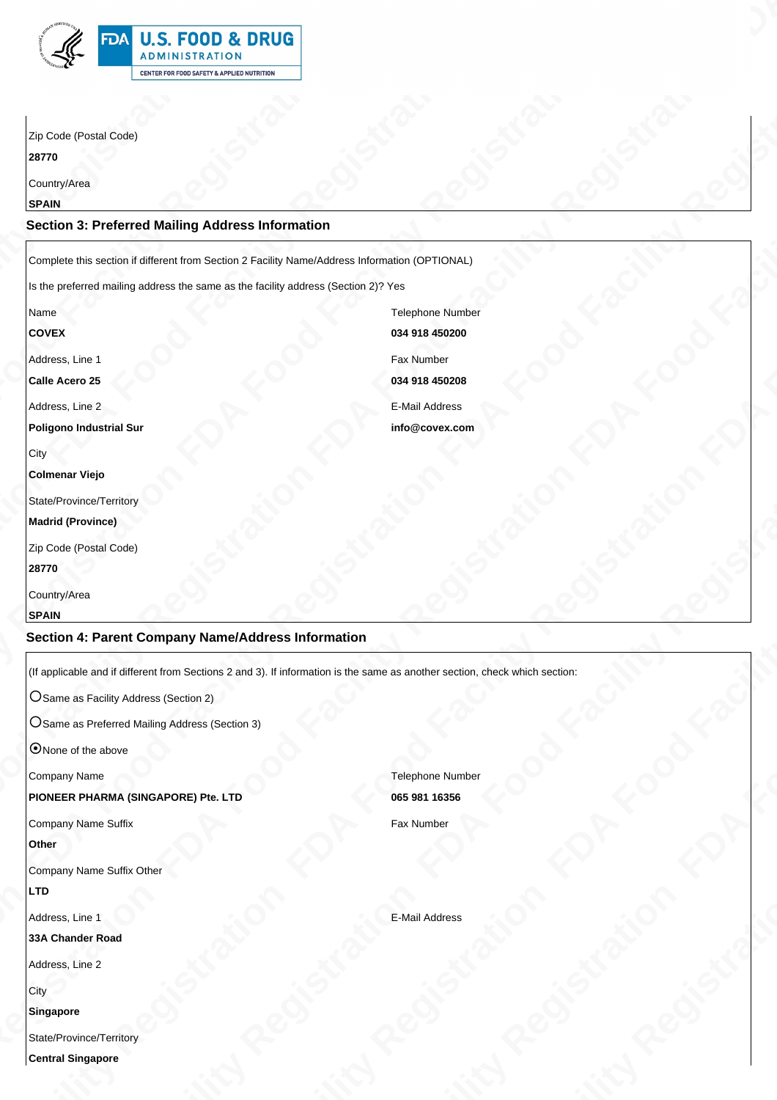### **Section 3: Preferred Mailing Address Information**

#### **Madrid (Province)**

# **Section 4: Parent Company Name/Address Information**

#### **LTD**

#### **City**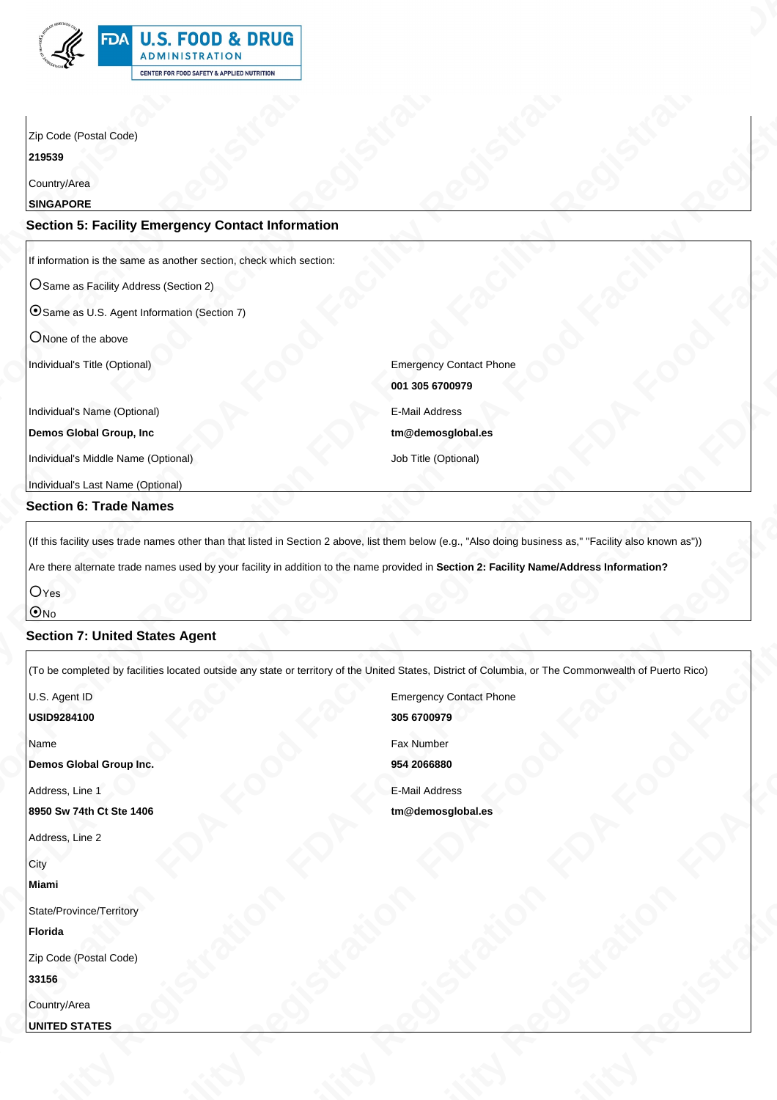| 绐 | <b>FDA U.S. FOOD &amp; DRUG</b><br><b>ADMINISTRATION</b> |
|---|----------------------------------------------------------|
|   | <b>CENTER FOR FOOD SAFETY &amp; APPLIED NUTRITION</b>    |

# **Section 5: Facility Emergency Contact Information**

# **Section 6: Trade Names**

# **Section 7: United States Agent**

| <b>EXAMPLE 15. FOOD &amp; DRUG</b><br>ADMINISTRATION<br>$\mathbb{S}^n$<br>CENTER FOR FOOD SAFETY & APPLIED NUTRITION<br>Zip Code (Postal Code)<br>219539<br>Country/Area<br><b>SINGAPORE</b><br><b>Section 5: Facility Emergency Contact Information</b><br>If information is the same as another section, check which section:<br>O Same as Facility Address (Section 2)<br>OSame as U.S. Agent Information (Section 7)<br>ONone of the above<br>Individual's Title (Optional)<br><b>Emergency Contact Phone</b><br>001 305 6700979<br>Individual's Name (Optional)<br>E-Mail Address<br>Demos Global Group, Inc<br>tm@demosglobal.es<br>Individual's Middle Name (Optional)<br>Job Title (Optional)<br>Individual's Last Name (Optional)<br><b>Section 6: Trade Names</b><br>(If this facility uses trade names other than that listed in Section 2 above, list them below (e.g., "Also doing business as," "Facility also known as"))<br>Are there alternate trade names used by your facility in addition to the name provided in Section 2: Facility Name/Address Information?<br>$O$ Yes<br><u>ାଠା</u><br><b>Section 7: United States Agent</b><br>(To be completed by facilities located outside any state or territory of the United States, District of Columbia, or The Commonwealth of Puerto Rico)<br>U.S. Agent ID<br><b>Emergency Contact Phone</b><br>305 6700979<br>USID9284100<br>Fax Number<br>Name<br>954 2066880<br>Demos Global Group Inc.<br><b>E-Mail Address</b><br>Address, Line 1<br>8950 Sw 74th Ct Ste 1406<br>tm@demosglobal.es<br>Address, Line 2<br><b>I</b> City<br>Miami<br>State/Province/Territory<br>Florida<br>Zip Code (Postal Code)<br>33156 |  |  |  |
|-------------------------------------------------------------------------------------------------------------------------------------------------------------------------------------------------------------------------------------------------------------------------------------------------------------------------------------------------------------------------------------------------------------------------------------------------------------------------------------------------------------------------------------------------------------------------------------------------------------------------------------------------------------------------------------------------------------------------------------------------------------------------------------------------------------------------------------------------------------------------------------------------------------------------------------------------------------------------------------------------------------------------------------------------------------------------------------------------------------------------------------------------------------------------------------------------------------------------------------------------------------------------------------------------------------------------------------------------------------------------------------------------------------------------------------------------------------------------------------------------------------------------------------------------------------------------------------------------------------------------------------------------------------------------------------|--|--|--|
| Country/Area                                                                                                                                                                                                                                                                                                                                                                                                                                                                                                                                                                                                                                                                                                                                                                                                                                                                                                                                                                                                                                                                                                                                                                                                                                                                                                                                                                                                                                                                                                                                                                                                                                                                        |  |  |  |
|                                                                                                                                                                                                                                                                                                                                                                                                                                                                                                                                                                                                                                                                                                                                                                                                                                                                                                                                                                                                                                                                                                                                                                                                                                                                                                                                                                                                                                                                                                                                                                                                                                                                                     |  |  |  |
|                                                                                                                                                                                                                                                                                                                                                                                                                                                                                                                                                                                                                                                                                                                                                                                                                                                                                                                                                                                                                                                                                                                                                                                                                                                                                                                                                                                                                                                                                                                                                                                                                                                                                     |  |  |  |
|                                                                                                                                                                                                                                                                                                                                                                                                                                                                                                                                                                                                                                                                                                                                                                                                                                                                                                                                                                                                                                                                                                                                                                                                                                                                                                                                                                                                                                                                                                                                                                                                                                                                                     |  |  |  |
|                                                                                                                                                                                                                                                                                                                                                                                                                                                                                                                                                                                                                                                                                                                                                                                                                                                                                                                                                                                                                                                                                                                                                                                                                                                                                                                                                                                                                                                                                                                                                                                                                                                                                     |  |  |  |
|                                                                                                                                                                                                                                                                                                                                                                                                                                                                                                                                                                                                                                                                                                                                                                                                                                                                                                                                                                                                                                                                                                                                                                                                                                                                                                                                                                                                                                                                                                                                                                                                                                                                                     |  |  |  |
|                                                                                                                                                                                                                                                                                                                                                                                                                                                                                                                                                                                                                                                                                                                                                                                                                                                                                                                                                                                                                                                                                                                                                                                                                                                                                                                                                                                                                                                                                                                                                                                                                                                                                     |  |  |  |
|                                                                                                                                                                                                                                                                                                                                                                                                                                                                                                                                                                                                                                                                                                                                                                                                                                                                                                                                                                                                                                                                                                                                                                                                                                                                                                                                                                                                                                                                                                                                                                                                                                                                                     |  |  |  |
|                                                                                                                                                                                                                                                                                                                                                                                                                                                                                                                                                                                                                                                                                                                                                                                                                                                                                                                                                                                                                                                                                                                                                                                                                                                                                                                                                                                                                                                                                                                                                                                                                                                                                     |  |  |  |
|                                                                                                                                                                                                                                                                                                                                                                                                                                                                                                                                                                                                                                                                                                                                                                                                                                                                                                                                                                                                                                                                                                                                                                                                                                                                                                                                                                                                                                                                                                                                                                                                                                                                                     |  |  |  |
|                                                                                                                                                                                                                                                                                                                                                                                                                                                                                                                                                                                                                                                                                                                                                                                                                                                                                                                                                                                                                                                                                                                                                                                                                                                                                                                                                                                                                                                                                                                                                                                                                                                                                     |  |  |  |
|                                                                                                                                                                                                                                                                                                                                                                                                                                                                                                                                                                                                                                                                                                                                                                                                                                                                                                                                                                                                                                                                                                                                                                                                                                                                                                                                                                                                                                                                                                                                                                                                                                                                                     |  |  |  |
|                                                                                                                                                                                                                                                                                                                                                                                                                                                                                                                                                                                                                                                                                                                                                                                                                                                                                                                                                                                                                                                                                                                                                                                                                                                                                                                                                                                                                                                                                                                                                                                                                                                                                     |  |  |  |
|                                                                                                                                                                                                                                                                                                                                                                                                                                                                                                                                                                                                                                                                                                                                                                                                                                                                                                                                                                                                                                                                                                                                                                                                                                                                                                                                                                                                                                                                                                                                                                                                                                                                                     |  |  |  |
|                                                                                                                                                                                                                                                                                                                                                                                                                                                                                                                                                                                                                                                                                                                                                                                                                                                                                                                                                                                                                                                                                                                                                                                                                                                                                                                                                                                                                                                                                                                                                                                                                                                                                     |  |  |  |
|                                                                                                                                                                                                                                                                                                                                                                                                                                                                                                                                                                                                                                                                                                                                                                                                                                                                                                                                                                                                                                                                                                                                                                                                                                                                                                                                                                                                                                                                                                                                                                                                                                                                                     |  |  |  |
|                                                                                                                                                                                                                                                                                                                                                                                                                                                                                                                                                                                                                                                                                                                                                                                                                                                                                                                                                                                                                                                                                                                                                                                                                                                                                                                                                                                                                                                                                                                                                                                                                                                                                     |  |  |  |
|                                                                                                                                                                                                                                                                                                                                                                                                                                                                                                                                                                                                                                                                                                                                                                                                                                                                                                                                                                                                                                                                                                                                                                                                                                                                                                                                                                                                                                                                                                                                                                                                                                                                                     |  |  |  |
|                                                                                                                                                                                                                                                                                                                                                                                                                                                                                                                                                                                                                                                                                                                                                                                                                                                                                                                                                                                                                                                                                                                                                                                                                                                                                                                                                                                                                                                                                                                                                                                                                                                                                     |  |  |  |
|                                                                                                                                                                                                                                                                                                                                                                                                                                                                                                                                                                                                                                                                                                                                                                                                                                                                                                                                                                                                                                                                                                                                                                                                                                                                                                                                                                                                                                                                                                                                                                                                                                                                                     |  |  |  |
|                                                                                                                                                                                                                                                                                                                                                                                                                                                                                                                                                                                                                                                                                                                                                                                                                                                                                                                                                                                                                                                                                                                                                                                                                                                                                                                                                                                                                                                                                                                                                                                                                                                                                     |  |  |  |
|                                                                                                                                                                                                                                                                                                                                                                                                                                                                                                                                                                                                                                                                                                                                                                                                                                                                                                                                                                                                                                                                                                                                                                                                                                                                                                                                                                                                                                                                                                                                                                                                                                                                                     |  |  |  |
|                                                                                                                                                                                                                                                                                                                                                                                                                                                                                                                                                                                                                                                                                                                                                                                                                                                                                                                                                                                                                                                                                                                                                                                                                                                                                                                                                                                                                                                                                                                                                                                                                                                                                     |  |  |  |
|                                                                                                                                                                                                                                                                                                                                                                                                                                                                                                                                                                                                                                                                                                                                                                                                                                                                                                                                                                                                                                                                                                                                                                                                                                                                                                                                                                                                                                                                                                                                                                                                                                                                                     |  |  |  |
|                                                                                                                                                                                                                                                                                                                                                                                                                                                                                                                                                                                                                                                                                                                                                                                                                                                                                                                                                                                                                                                                                                                                                                                                                                                                                                                                                                                                                                                                                                                                                                                                                                                                                     |  |  |  |
|                                                                                                                                                                                                                                                                                                                                                                                                                                                                                                                                                                                                                                                                                                                                                                                                                                                                                                                                                                                                                                                                                                                                                                                                                                                                                                                                                                                                                                                                                                                                                                                                                                                                                     |  |  |  |
|                                                                                                                                                                                                                                                                                                                                                                                                                                                                                                                                                                                                                                                                                                                                                                                                                                                                                                                                                                                                                                                                                                                                                                                                                                                                                                                                                                                                                                                                                                                                                                                                                                                                                     |  |  |  |
|                                                                                                                                                                                                                                                                                                                                                                                                                                                                                                                                                                                                                                                                                                                                                                                                                                                                                                                                                                                                                                                                                                                                                                                                                                                                                                                                                                                                                                                                                                                                                                                                                                                                                     |  |  |  |
|                                                                                                                                                                                                                                                                                                                                                                                                                                                                                                                                                                                                                                                                                                                                                                                                                                                                                                                                                                                                                                                                                                                                                                                                                                                                                                                                                                                                                                                                                                                                                                                                                                                                                     |  |  |  |
|                                                                                                                                                                                                                                                                                                                                                                                                                                                                                                                                                                                                                                                                                                                                                                                                                                                                                                                                                                                                                                                                                                                                                                                                                                                                                                                                                                                                                                                                                                                                                                                                                                                                                     |  |  |  |
|                                                                                                                                                                                                                                                                                                                                                                                                                                                                                                                                                                                                                                                                                                                                                                                                                                                                                                                                                                                                                                                                                                                                                                                                                                                                                                                                                                                                                                                                                                                                                                                                                                                                                     |  |  |  |
|                                                                                                                                                                                                                                                                                                                                                                                                                                                                                                                                                                                                                                                                                                                                                                                                                                                                                                                                                                                                                                                                                                                                                                                                                                                                                                                                                                                                                                                                                                                                                                                                                                                                                     |  |  |  |
|                                                                                                                                                                                                                                                                                                                                                                                                                                                                                                                                                                                                                                                                                                                                                                                                                                                                                                                                                                                                                                                                                                                                                                                                                                                                                                                                                                                                                                                                                                                                                                                                                                                                                     |  |  |  |
|                                                                                                                                                                                                                                                                                                                                                                                                                                                                                                                                                                                                                                                                                                                                                                                                                                                                                                                                                                                                                                                                                                                                                                                                                                                                                                                                                                                                                                                                                                                                                                                                                                                                                     |  |  |  |
|                                                                                                                                                                                                                                                                                                                                                                                                                                                                                                                                                                                                                                                                                                                                                                                                                                                                                                                                                                                                                                                                                                                                                                                                                                                                                                                                                                                                                                                                                                                                                                                                                                                                                     |  |  |  |
|                                                                                                                                                                                                                                                                                                                                                                                                                                                                                                                                                                                                                                                                                                                                                                                                                                                                                                                                                                                                                                                                                                                                                                                                                                                                                                                                                                                                                                                                                                                                                                                                                                                                                     |  |  |  |
|                                                                                                                                                                                                                                                                                                                                                                                                                                                                                                                                                                                                                                                                                                                                                                                                                                                                                                                                                                                                                                                                                                                                                                                                                                                                                                                                                                                                                                                                                                                                                                                                                                                                                     |  |  |  |
|                                                                                                                                                                                                                                                                                                                                                                                                                                                                                                                                                                                                                                                                                                                                                                                                                                                                                                                                                                                                                                                                                                                                                                                                                                                                                                                                                                                                                                                                                                                                                                                                                                                                                     |  |  |  |
|                                                                                                                                                                                                                                                                                                                                                                                                                                                                                                                                                                                                                                                                                                                                                                                                                                                                                                                                                                                                                                                                                                                                                                                                                                                                                                                                                                                                                                                                                                                                                                                                                                                                                     |  |  |  |
|                                                                                                                                                                                                                                                                                                                                                                                                                                                                                                                                                                                                                                                                                                                                                                                                                                                                                                                                                                                                                                                                                                                                                                                                                                                                                                                                                                                                                                                                                                                                                                                                                                                                                     |  |  |  |
|                                                                                                                                                                                                                                                                                                                                                                                                                                                                                                                                                                                                                                                                                                                                                                                                                                                                                                                                                                                                                                                                                                                                                                                                                                                                                                                                                                                                                                                                                                                                                                                                                                                                                     |  |  |  |
|                                                                                                                                                                                                                                                                                                                                                                                                                                                                                                                                                                                                                                                                                                                                                                                                                                                                                                                                                                                                                                                                                                                                                                                                                                                                                                                                                                                                                                                                                                                                                                                                                                                                                     |  |  |  |
|                                                                                                                                                                                                                                                                                                                                                                                                                                                                                                                                                                                                                                                                                                                                                                                                                                                                                                                                                                                                                                                                                                                                                                                                                                                                                                                                                                                                                                                                                                                                                                                                                                                                                     |  |  |  |
|                                                                                                                                                                                                                                                                                                                                                                                                                                                                                                                                                                                                                                                                                                                                                                                                                                                                                                                                                                                                                                                                                                                                                                                                                                                                                                                                                                                                                                                                                                                                                                                                                                                                                     |  |  |  |
|                                                                                                                                                                                                                                                                                                                                                                                                                                                                                                                                                                                                                                                                                                                                                                                                                                                                                                                                                                                                                                                                                                                                                                                                                                                                                                                                                                                                                                                                                                                                                                                                                                                                                     |  |  |  |
|                                                                                                                                                                                                                                                                                                                                                                                                                                                                                                                                                                                                                                                                                                                                                                                                                                                                                                                                                                                                                                                                                                                                                                                                                                                                                                                                                                                                                                                                                                                                                                                                                                                                                     |  |  |  |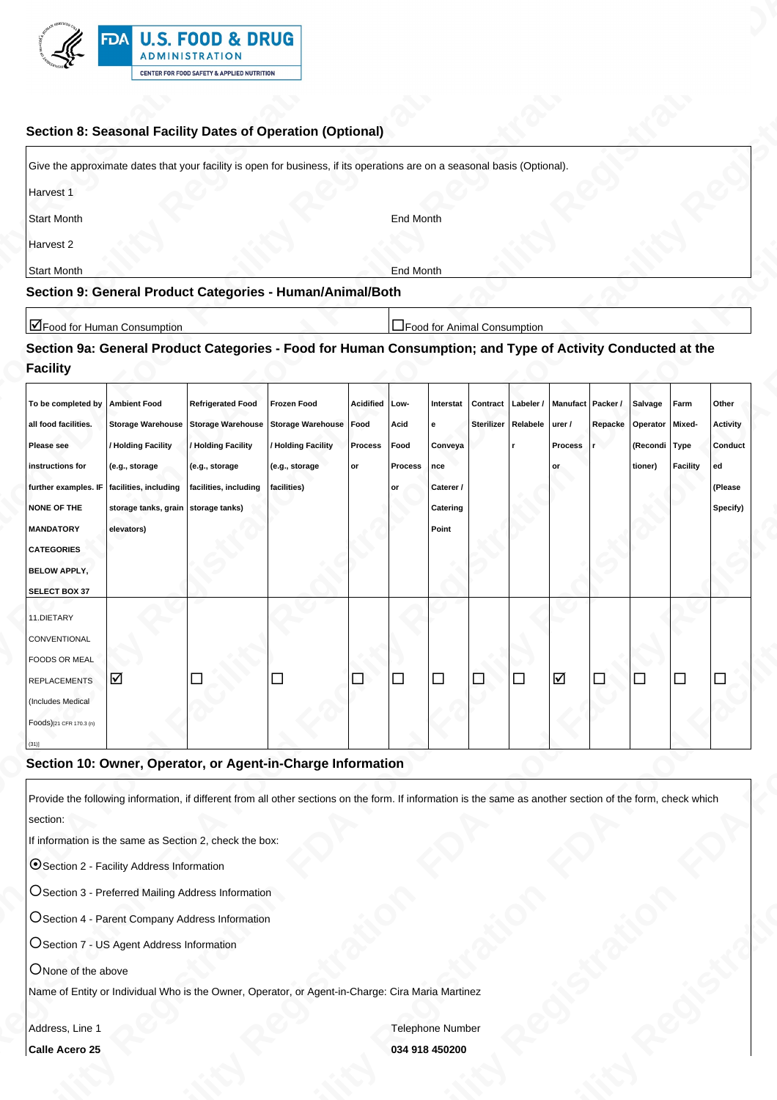

### **Section 8: Seasonal Facility Dates of Operation (Optional)**

| Give the approximate dates that your facility is open for business, if its operations are on a seasonal basis (Optional). |           |
|---------------------------------------------------------------------------------------------------------------------------|-----------|
| Harvest 1                                                                                                                 |           |
| Start Month                                                                                                               | End Month |
| Harvest 2                                                                                                                 |           |
| Start Month                                                                                                               | End Month |
| Section 9: General Product Categories - Human/Animal/Both                                                                 |           |

# **Section 9a: General Product Categories - Food for Human Consumption; and Type of Activity Conducted at the Facility**

| FDA U.S. FOOD & DRUG                                                                                                                                                                                                                                                                                                                                                                       |  |
|--------------------------------------------------------------------------------------------------------------------------------------------------------------------------------------------------------------------------------------------------------------------------------------------------------------------------------------------------------------------------------------------|--|
| ADMINISTRATION<br>$\mathbb{R}^n$<br><b>CENTER FOR FOOD SAFETY &amp; APPLIED NUTRITION</b>                                                                                                                                                                                                                                                                                                  |  |
| Section 8: Seasonal Facility Dates of Operation (Optional)                                                                                                                                                                                                                                                                                                                                 |  |
| Give the approximate dates that your facility is open for business, if its operations are on a seasonal basis (Optional).<br>Harvest 1                                                                                                                                                                                                                                                     |  |
| Start Month<br><b>End Month</b><br>Harvest 2                                                                                                                                                                                                                                                                                                                                               |  |
| <b>Start Month</b><br><b>End Month</b><br>Section 9: General Product Categories - Human/Animal/Both                                                                                                                                                                                                                                                                                        |  |
| Food for Human Consumption<br>Food for Animal Consumption<br>Section 9a: General Product Categories - Food for Human Consumption; and Type of Activity Conducted at the<br>Facility                                                                                                                                                                                                        |  |
| To be completed by   Ambient Food   Refrigerated Food   Frozen Food   Acidified   Low-   Interstat   Contract   Labeler /   Manufact   Packer / Salvage   Farm   Other  <br>all food facilities. Storage Warehouse Storage Warehouse Storage Warehouse Food Acid e<br>Sterilizer Relabele urer / Repacke Operator Mixed- Activity                                                          |  |
| / Holding Facility / Holding Facility / Holding Facility Process Food Conveya<br>Process r<br>(Recondi Type Conduct<br>Please see<br>$(e.g., storage$ $(e.g., storage)$ $(e.g., storage)$<br>instructions for<br>tioner) Facility ed<br>Process   nce<br>$ $ or<br>lor<br>further examples. IF $ $ facilities, including $ $ facilities, including $ $ facilities)<br>Caterer /<br>(Please |  |
| NONE OF THE storage tanks, grain storage tanks)<br><b>Catering</b><br>Specify)  <br><b>MANDATORY</b><br>Point<br>elevators)                                                                                                                                                                                                                                                                |  |
| <b>CATEGORIES</b><br><b>BELOW APPLY,</b><br>SELECT BOX 37                                                                                                                                                                                                                                                                                                                                  |  |
| 11.DIETARY<br>CONVENTIONAL                                                                                                                                                                                                                                                                                                                                                                 |  |
| FOODS OR MEAL<br>10 L<br>$\Box$<br>REPLACEMENTS                                                                                                                                                                                                                                                                                                                                            |  |
| (Includes Medical<br>Foods)[21 CFR 170.3 (n)                                                                                                                                                                                                                                                                                                                                               |  |
| Section 10: Owner, Operator, or Agent-in-Charge Information                                                                                                                                                                                                                                                                                                                                |  |
| Provide the following information, if different from all other sections on the form. If information is the same as another section of the form, check which<br>section:                                                                                                                                                                                                                    |  |
| If information is the same as Section 2, check the box:<br>O Section 2 - Facility Address Information                                                                                                                                                                                                                                                                                      |  |
| OSection 3 - Preferred Mailing Address Information                                                                                                                                                                                                                                                                                                                                         |  |
| OSection 4 - Parent Company Address Information                                                                                                                                                                                                                                                                                                                                            |  |
| OSection 7 - US Agent Address Information<br>ONone of the above                                                                                                                                                                                                                                                                                                                            |  |
| Name of Entity or Individual Who is the Owner, Operator, or Agent-in-Charge: Cira Maria Martinez                                                                                                                                                                                                                                                                                           |  |
| Address, Line 1<br>Telephone Number<br>Calle Acero 25<br>034 918 450200                                                                                                                                                                                                                                                                                                                    |  |

### **Section 10: Owner, Operator, or Agent-in-Charge Information**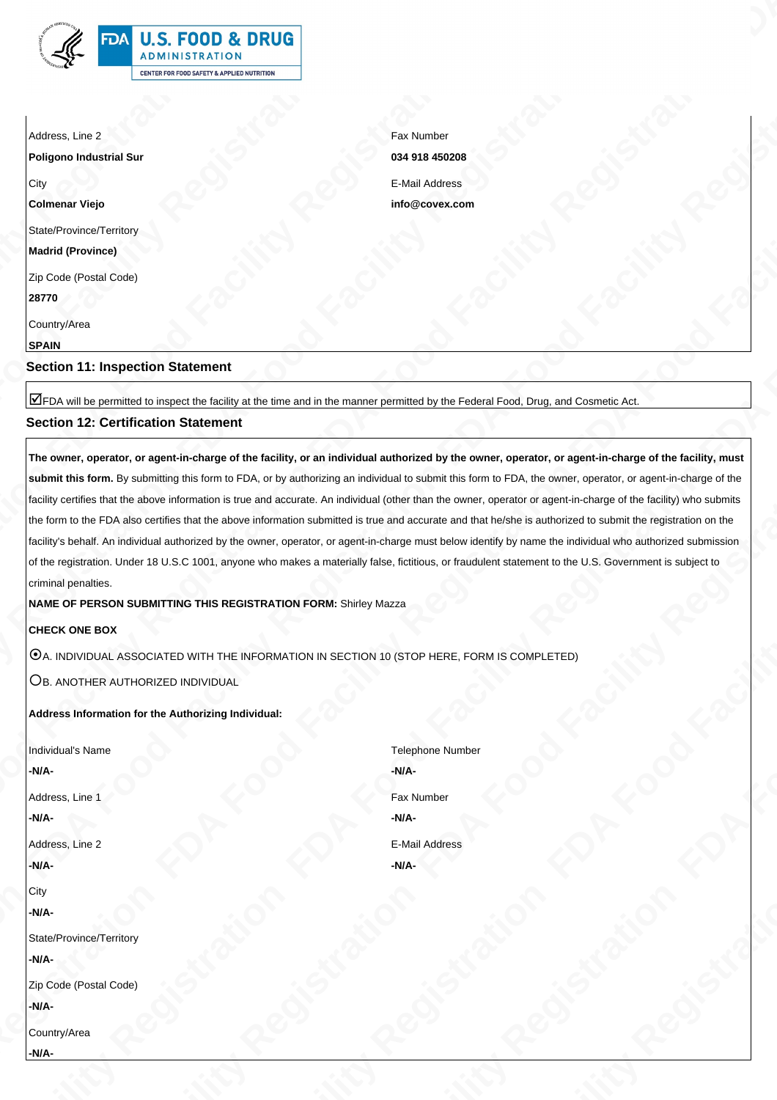# **Section 12: Certification Statement**

**FDA FOOD FACILITY REGISTRATION FOOD FACILITY REGISTRATION FOOD FACILITY REGISTRATION FOOD FACILITY REGISTRATION FOOD FACILITY REGISTRATION FOOD FACILITY REGISTRATION FOOD FOOD FACILITY REGISTRATION FOOD FOOD FOOD FACILITY FBA Food Facility Registration FDA Food Facility Registration FDA Food Facility Registration FDA Food Facility Registration FDA Food Facility Registration FDA Food Facility Registration FDA Food Food Food Food Food Food F The owner, operator, or agent-in-charge of the facility, or an individual authorized by the owner, operator, or agent-in-charge of the facility, must submit this form.** By submitting this form to FDA, or by authorizing an individual to submit this form to FDA, the owner, operator, or agent-in-charge of the facility certifies that the above information is true and accurate. An individual (other than the owner, operator or agent-in-charge of the facility) who submits the form to the FDA also certifies that the above information submitted is true and accurate and that he/she is authorized to submit the registration on the facility's behalf. An individual authorized by the owner, operator, or agent-in-charge must below identify by name the individual who authorized submission of the registration. Under 18 U.S.C 1001, anyone who makes a materially false, fictitious, or fraudulent statement to the U.S. Government is subject to criminal penalties.

### **CHECK ONE BOX**

#### **Address Information for the Authorizing Individual:**

| <b>EDA U.S. FOOD &amp; DRUG</b><br>ADMINISTRATION<br>$\mathbb{R}$<br>CENTER FOR FOOD SAFETY & APPLIED NUTRITION                                                                                                                                                                                                                                                                                                                                                                                                                                                                                                                                               |                                            |     |  |  |  |
|---------------------------------------------------------------------------------------------------------------------------------------------------------------------------------------------------------------------------------------------------------------------------------------------------------------------------------------------------------------------------------------------------------------------------------------------------------------------------------------------------------------------------------------------------------------------------------------------------------------------------------------------------------------|--------------------------------------------|-----|--|--|--|
| Address, Line 2                                                                                                                                                                                                                                                                                                                                                                                                                                                                                                                                                                                                                                               | Fax Number                                 |     |  |  |  |
| <b>Poligono Industrial Su</b><br>∣City                                                                                                                                                                                                                                                                                                                                                                                                                                                                                                                                                                                                                        | 034 918 450208<br><b>E-Mail Address</b>    |     |  |  |  |
| <b>Colmenar Viejo</b><br>State/Province/Territory                                                                                                                                                                                                                                                                                                                                                                                                                                                                                                                                                                                                             | info@covex.com                             |     |  |  |  |
| <b>Madrid (Province)</b><br>Zip Code (Postal Code)                                                                                                                                                                                                                                                                                                                                                                                                                                                                                                                                                                                                            |                                            |     |  |  |  |
| 28770<br>Country/Area                                                                                                                                                                                                                                                                                                                                                                                                                                                                                                                                                                                                                                         |                                            |     |  |  |  |
| <b>SPAIN</b><br>Section 11: Inspection Statement                                                                                                                                                                                                                                                                                                                                                                                                                                                                                                                                                                                                              |                                            |     |  |  |  |
| TFDA will be permitted to inspect the facility at the time and in the manner permitted by the Federal Food, Drug, and Cosmetic Act.<br><b>Section 12: Certification Statement</b>                                                                                                                                                                                                                                                                                                                                                                                                                                                                             |                                            |     |  |  |  |
| The owner, operator, or agent-in-charge of the facility, or an individual authorized by the owner, operator, or agent-in-charge of the facility, must $\, \,$<br>submit this form. By submitting this form to FDA, or by authorizing an individual to submit this form to FDA, the owner, operator, or agent-in-charge of the                                                                                                                                                                                                                                                                                                                                 |                                            |     |  |  |  |
| facility certifies that the above information is true and accurate. An individual (other than the owner, operator or agent-in-charge of the facility) who submits  <br>the form to the FDA also certifies that the above information submitted is true and accurate and that he/she is authorized to submit the registration on the<br>facility's behalf. An individual authorized by the owner, operator, or agent-in-charge must below identify by name the individual who authorized submission<br>of the registration. Under 18 U.S.C 1001, anyone who makes a materially false, fictitious, or fraudulent statement to the U.S. Government is subject to |                                            |     |  |  |  |
| criminal penalties.<br>NAME OF PERSON SUBMITTING THIS REGISTRATION FORM: Shirley Mazza                                                                                                                                                                                                                                                                                                                                                                                                                                                                                                                                                                        |                                            |     |  |  |  |
| CHECK ONE BOX<br>$\boxed{\textcircled{0}}$ a. Individual associated with the information in Section 10 (STOP HERE, FORM IS COMPLETED)                                                                                                                                                                                                                                                                                                                                                                                                                                                                                                                         |                                            |     |  |  |  |
| OB. ANOTHER AUTHORIZED INDIVIDUAL<br>Address Information for the Authorizing Individual:                                                                                                                                                                                                                                                                                                                                                                                                                                                                                                                                                                      |                                            |     |  |  |  |
| Individual's Name                                                                                                                                                                                                                                                                                                                                                                                                                                                                                                                                                                                                                                             | <b>Telephone Number</b>                    |     |  |  |  |
| Address, Line 1                                                                                                                                                                                                                                                                                                                                                                                                                                                                                                                                                                                                                                               | -N/A-<br><b>Fax Number</b>                 |     |  |  |  |
| Address, Line 2                                                                                                                                                                                                                                                                                                                                                                                                                                                                                                                                                                                                                                               | -N/A-<br><b>E-Mail Address</b><br>$-N/A$ - |     |  |  |  |
|                                                                                                                                                                                                                                                                                                                                                                                                                                                                                                                                                                                                                                                               |                                            |     |  |  |  |
| State/Province/Territory                                                                                                                                                                                                                                                                                                                                                                                                                                                                                                                                                                                                                                      |                                            |     |  |  |  |
| Zip Code (Postal Code)<br>$-N/A$                                                                                                                                                                                                                                                                                                                                                                                                                                                                                                                                                                                                                              |                                            |     |  |  |  |
|                                                                                                                                                                                                                                                                                                                                                                                                                                                                                                                                                                                                                                                               | $Q^{\mathcal{O}}$                          | Ret |  |  |  |
| Country/Area<br>-N/A-<br>25 S<br>e Romano de Salvador.<br>Nacional                                                                                                                                                                                                                                                                                                                                                                                                                                                                                                                                                                                            | R.                                         |     |  |  |  |